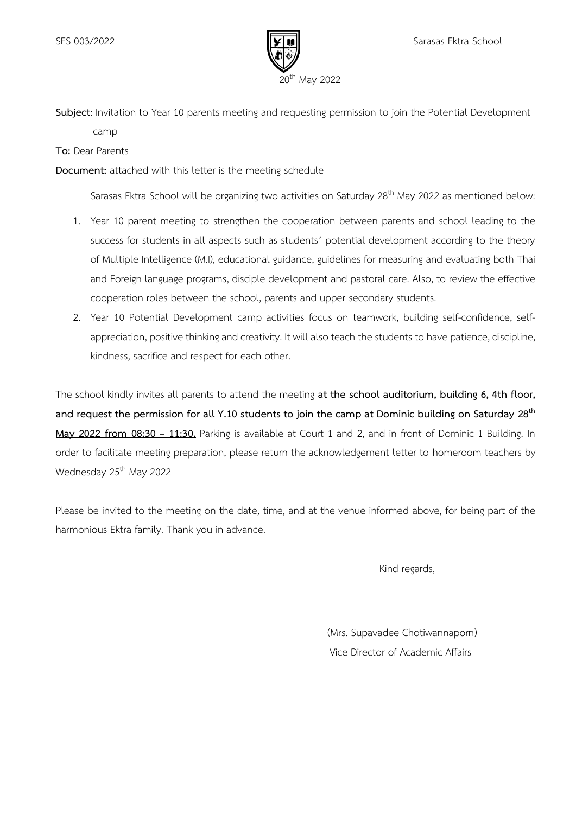

**Subject**: Invitation to Year 10 parents meeting and requesting permission to join the Potential Development camp

**To:** Dear Parents

**Document:** attached with this letter is the meeting schedule

Sarasas Ektra School will be organizing two activities on Saturday 28<sup>th</sup> May 2022 as mentioned below:

- 1. Year 10 parent meeting to strengthen the cooperation between parents and school leading to the success for students in all aspects such as students' potential development according to the theory of Multiple Intelligence (M.I), educational guidance, guidelines for measuring and evaluating both Thai and Foreign language programs, disciple development and pastoral care. Also, to review the effective cooperation roles between the school, parents and upper secondary students.
- 2. Year 10 Potential Development camp activities focus on teamwork, building self-confidence, selfappreciation, positive thinking and creativity. It will also teach the students to have patience, discipline, kindness, sacrifice and respect for each other.

The school kindly invites all parents to attend the meeting **at the school auditorium, building 6, 4th floor, and request the permission for all Y.10 students to join the camp at Dominic building on Saturday 28th May 2022 from 08:30 – 11:30.** Parking is available at Court 1 and 2, and in front of Dominic 1 Building. In order to facilitate meeting preparation, please return the acknowledgement letter to homeroom teachers by Wednesday 25<sup>th</sup> May 2022

Please be invited to the meeting on the date, time, and at the venue informed above, for being part of the harmonious Ektra family. Thank you in advance.

Kind regards,

 (Mrs. Supavadee Chotiwannaporn) Vice Director of Academic Affairs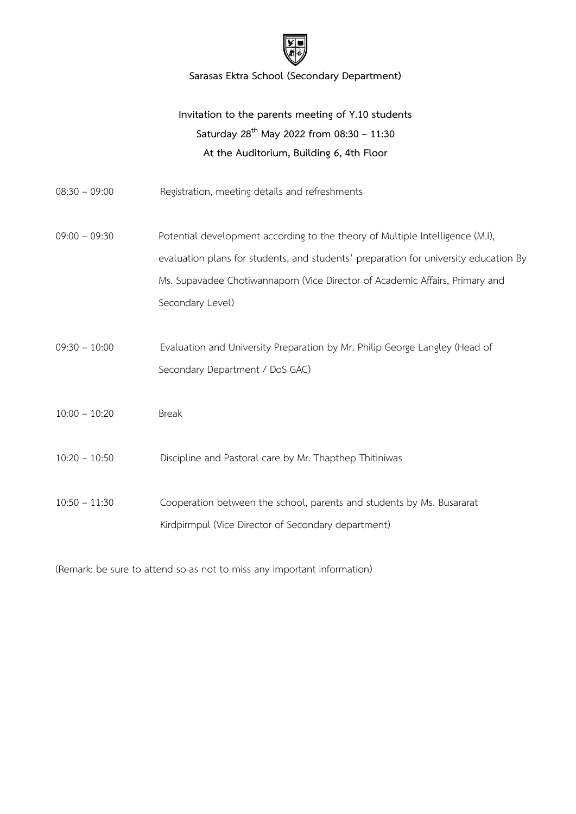

**Sarasas Ektra School (Secondary Department)**

## **Invitation to the parents meeting of Y.10 students Saturday 28th May 2022 from 08:30 – 11:30 At the Auditorium, Building 6, 4th Floor**

- 08:30 09:00 Registration, meeting details and refreshments
- 09:00 09:30 Potential development according to the theory of Multiple Intelligence (M.I), evaluation plans for students, and students' preparation for university education By Ms. Supavadee Chotiwannaporn (Vice Director of Academic Affairs, Primary and Secondary Level)
- 09:30 10:00 Evaluation and University Preparation by Mr. Philip George Langley (Head of Secondary Department / DoS GAC)
- 10:00 10:20 Break
- 10:20 10:50 Discipline and Pastoral care by Mr. Thapthep Thitiniwas
- 10:50 11:30 Cooperation between the school, parents and students by Ms. Busararat Kirdpirmpul (Vice Director of Secondary department)

(Remark: be sure to attend so as not to miss any important information)